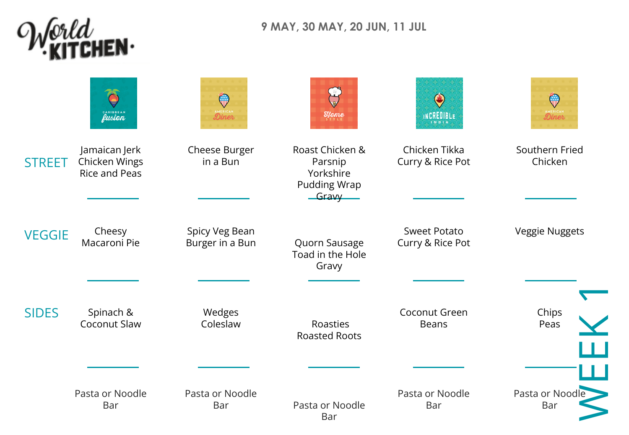

**9 MAY, 30 MAY, 20 JUN, 11 JUL**

|               | CARIBBEAN                                              | $\mathbb{Q}$<br>Diner             | <b>Ilome</b>                                                                    | $\bigodot$<br>INCREDIBLE<br><b>INDIA</b> | <br>Viiv<br>Diner         |
|---------------|--------------------------------------------------------|-----------------------------------|---------------------------------------------------------------------------------|------------------------------------------|---------------------------|
| <b>STREET</b> | Jamaican Jerk<br>Chicken Wings<br><b>Rice and Peas</b> | Cheese Burger<br>in a Bun         | Roast Chicken &<br>Parsnip<br>Yorkshire<br><b>Pudding Wrap</b><br>$-$ Gravy $-$ | Chicken Tikka<br>Curry & Rice Pot        | Southern Fried<br>Chicken |
| <b>VEGGIE</b> | Cheesy<br>Macaroni Pie                                 | Spicy Veg Bean<br>Burger in a Bun | Quorn Sausage<br>Toad in the Hole<br>Gravy                                      | <b>Sweet Potato</b><br>Curry & Rice Pot  | Veggie Nuggets            |
| <b>SIDES</b>  | Spinach &<br>Coconut Slaw                              | Wedges<br>Coleslaw                | Roasties<br><b>Roasted Roots</b>                                                | Coconut Green<br><b>Beans</b>            | Chips<br>Peas             |
|               | Pasta or Noodle<br>Bar                                 | Pasta or Noodle<br>Bar            | Pasta or Noodle<br>Bar                                                          | Pasta or Noodle<br>Bar                   | Pasta or Noodle<br>Bar    |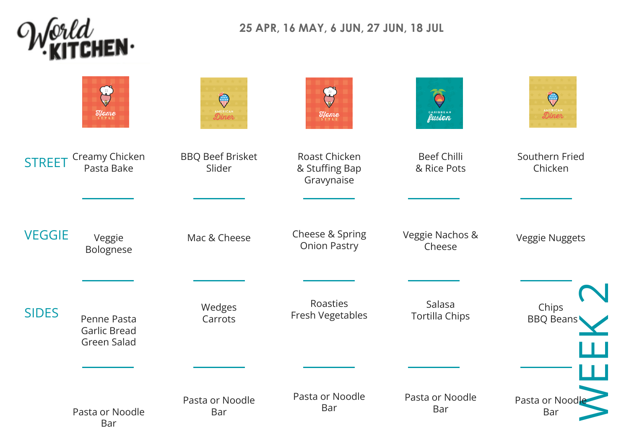

## **25 APR, 16 MAY, 6 JUN, 27 JUN, 18 JUL**

|               | <b>Ilome</b>                                      | $\mathbb{Q}$<br><b>AMERICAN</b>   | $\mathbf{f}_s$<br>$\mathcal{H}$ ame           | CARIBBEAN                         | (w<br>Diner               |
|---------------|---------------------------------------------------|-----------------------------------|-----------------------------------------------|-----------------------------------|---------------------------|
| <b>STREET</b> | Creamy Chicken<br>Pasta Bake                      | <b>BBQ Beef Brisket</b><br>Slider | Roast Chicken<br>& Stuffing Bap<br>Gravynaise | <b>Beef Chilli</b><br>& Rice Pots | Southern Fried<br>Chicken |
| <b>VEGGIE</b> | Veggie<br>Bolognese                               | Mac & Cheese                      | Cheese & Spring<br><b>Onion Pastry</b>        | Veggie Nachos &<br>Cheese         | Veggie Nuggets            |
| <b>SIDES</b>  | Penne Pasta<br><b>Garlic Bread</b><br>Green Salad | Wedges<br>Carrots                 | Roasties<br>Fresh Vegetables                  | Salasa<br><b>Tortilla Chips</b>   | Chips<br><b>BBQ Beans</b> |
|               | Pasta or Noodle<br>Bar                            | Pasta or Noodle<br>Bar            | Pasta or Noodle<br>Bar                        | Pasta or Noodle<br>Bar            | Pasta or Noodle<br>Bar    |